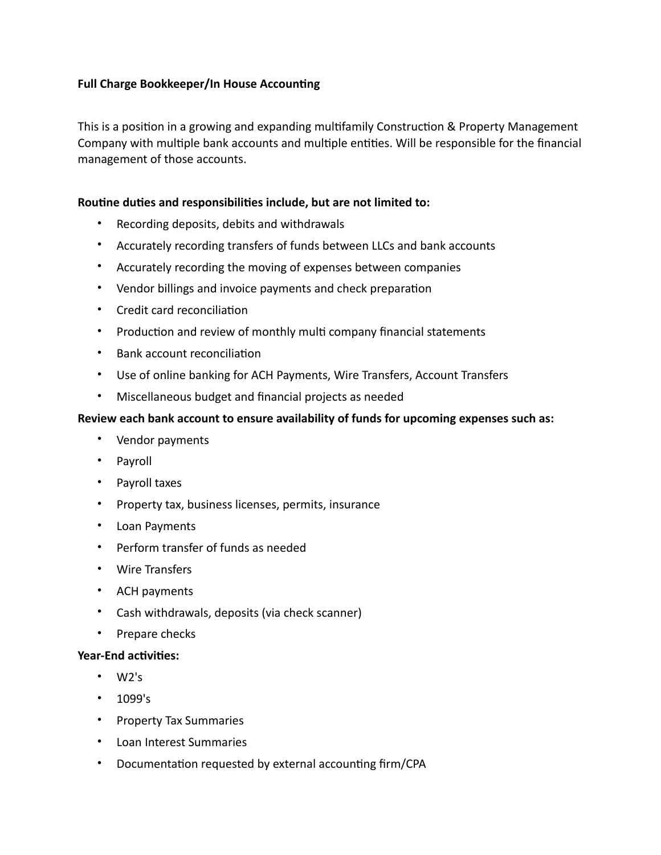# **Full Charge Bookkeeper/In House Accounting**

This is a position in a growing and expanding multifamily Construction & Property Management Company with multiple bank accounts and multiple entities. Will be responsible for the financial management of those accounts.

## **Routine duties and responsibilities include, but are not limited to:**

- Recording deposits, debits and withdrawals
- Accurately recording transfers of funds between LLCs and bank accounts
- Accurately recording the moving of expenses between companies
- Vendor billings and invoice payments and check preparation
- Credit card reconciliation
- Production and review of monthly multi company financial statements
- Bank account reconciliation
- Use of online banking for ACH Payments, Wire Transfers, Account Transfers
- Miscellaneous budget and financial projects as needed

### **Review each bank account to ensure availability of funds for upcoming expenses such as:**

- Vendor payments
- Payroll
- Payroll taxes
- Property tax, business licenses, permits, insurance
- Loan Payments
- Perform transfer of funds as needed
- Wire Transfers
- ACH payments
- Cash withdrawals, deposits (via check scanner)
- Prepare checks

#### **Year-End activities:**

- W2's
- 1099's
- Property Tax Summaries
- Loan Interest Summaries
- Documentation requested by external accounting firm/CPA